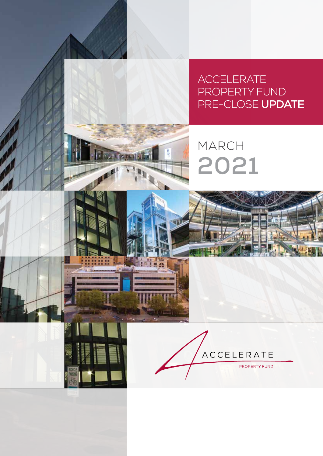**ACCELERATE** PROPERTY FUND PRE-CLOSE **UPDATE**







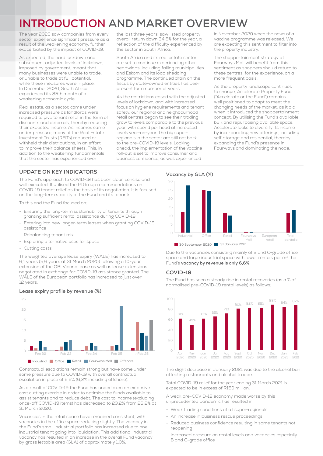# **INTRODUCTION AND MARKET OVERVIEW**

The year 2020 saw companies from every sector experience significant pressure as a result of the weakening economy, further exacerbated by the impact of COVID-19.

As expected, the hard lockdown and subsequent adjusted levels of lockdown, imposed by government, meant that many businesses were unable to trade, or unable to trade at full potential, while these measures were in place. In December 2020, South Africa experienced its 85th month of a weakening economic cycle.

Real estate, as a sector, came under increased pressure as landlords were required to give tenant relief in the form of discounts and deferrals, thereby reducing their expected income. As incomes came under pressure, many of the Real Estate Investment Trusts (REITs) reduced or withheld their distributions, in an effort to improve their balance sheets. This, in addition to the weakening fundamentals that the sector has experienced over

the last three years, saw listed property overall return down 34,5% for the year, a reflection of the difficulty experienced by the sector in South Africa.

South Africa and its real estate sector are set to continue experiencing other headwinds, including failing municipalities and Eskom and its load shedding programme. The continued drain on the fiscus by state-owned entities has been present for a number of years.

As the restrictions eased with the adjusted levels of lockdown, and with increased focus on hygiene requirements and tenant safety, our regional and neighbourhood retail centres began to see their trading grow to levels comparable to the previous year, with spend per head at increased levels year-on-year. The big superregionals in the sector are still not back to the pre-COVID-19 levels. Looking ahead, the implementation of the vaccine roll-out is set to improve consumer and business confidence, as was experienced

in November 2020 when the news of a vaccine programme was released. We are expecting this sentiment to filter into the property industry.

The shoppertainment strategy at Fourways Mall will benefit from this sentiment as shoppers should return to these centres, for the experience, on a more frequent basis.

As the property landscape continues to change, Accelerate Property Fund ("Accelerate or the Fund") remains well positioned to adapt to meet the changing needs of the market, as it did when it introduced the shoppertainment concept. By utilising the Fund's available bulk and repurposing available space, Accelerate looks to diversify its income by incorporating new offerings, including self-storage and residential, thereby expanding the Fund's presence in Fourways and dominating the node.

# **UPDATE ON KEY INDICATORS**

The Fund's approach to COVID-19 has been clear, concise and well executed. It utilised the PI Group recommendations on COVID-19 tenant relief as the basis of its negotiation. It is focused on the long-term stability of the Fund and its tenants.

To this end the Fund focused on:

- Ensuring the long-term sustainability of tenants through granting sufficient rental assistance during COVID-19
- Entering into new longer-term leases when granting COVID-19 assistance
- Rebalancing tenant mix
- Exploring alternative uses for space
- Cutting costs

The weighted average lease expiry (WALE) has increased to 6,1 years (5,6 years at 31 March 2020) following a 10-year extension of the OBI Vienna lease as well as lease extensions negotiated in exchange for COVID-19 assistance granted. The WALE of the European portfolio has increased to just over 12 years.



# **Lease expiry profile by revenue (%)**

Contractual escalations remain strong but have come under some pressure due to COVID-19 with overall contractual escalation in place of 6,6% (6,2% including offshore).

As a result of COVID-19 the Fund has undertaken an extensive cost cutting exercise in order to optimise the funds available to assist tenants and to reduce debt. The cost to income (excluding once-off COVID-19 items) has decreased to 23,2% from 26,2% at 31 March 2020.

Vacancies in the retail space have remained consistent, with vacancies in the office space reducing slightly. The vacancy in the Fund's small industrial portfolio has increased due to one industrial tenant going into liquidation. This additional industrial vacancy has resulted in an increase in the overall Fund vacancy by gross lettable area (GLA) of approximately 1,0%.

**Vacancy by GLA (%)** 



Due to the vacancies consisting mainly of B and C-grade office space and large industrial space with lower rentals per m<sup>2</sup> the Fund's **vacancy by revenue is only 6,6%.**

# **COVID-19**

The Fund has seen a steady rise in rental recoveries (as a % of normalised pre-COVID-19 rental levels) as follows:



The slight decrease in January 2021 was due to the alcohol ban affecting restaurants and alcohol traders.

Total COVID-19 relief for the year ending 31 March 2021 is expected to be in excess of R150 million.

A weak pre-COVID-19 economy made worse by this unprecedented pandemic has resulted in:

- Weak trading conditions at all super-regionals
- An increase in business rescue proceedings
- Reduced business confidence resulting in some tenants not reopening
- Increased pressure on rental levels and vacancies especially B and C-grade office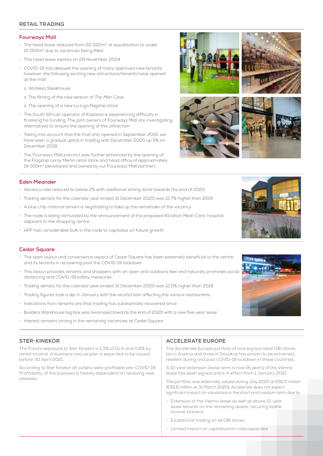# **RETAIL TRADING**

#### **Fourways Mall**

- The head lease reduced from 22 022m<sup>2</sup> at equalisation to under 15 000m2 due to vacancies being filled
- This head lease expires on 29 November 2024
- COVID-19 has delayed the opening of many approved new tenants; however, the following exciting new attractions/tenants have opened at the mall:
	- o Wickleys Steakhouse
	- o The filming of the new season of The Man Cave
	- o The opening of a new La Liga flagship store
- The South African operator of Kidzania is experiencing difficulty in finalising his funding. The joint owners of Fourways Mall are investigating alternatives to ensure the opening of this attraction
- Taking into account that the mall only opened in September 2019, we have seen a gradual uptick in trading with December 2020 up 5% on December 2019
- The Fourways Mall precinct was further enhanced by the opening of the Flagship Leroy Merlin retail store and head office of approximately 19 000m2 (developed and owned by our Fourways Mall partner)

# **Eden Meander**

- Vacancy rate reduced to below 2% with additional letting done towards the end of 2020
- Trading density for the calendar year ended 31 December 2020 was 12,7% higher than 2019
- A blue chip national tenant is negotiating to take up the remainder of the vacancy
- The node is being stimulated by the announcement of the proposed R1 billion Medi-Clinic hospital adjacent to the shopping centre
- APF has considerable bulk in the node to capitalise on future growth

# **Cedar Square**

- The open layout and convenience aspect of Cedar Square has been extremely beneficial to the centre and its tenants in recovering post the COVID-19 lockdown
- This layout provides tenants and shoppers with an open and outdoors feel and naturally promotes social distancing and COVID-19 safety measures
- Trading density for the calendar year ended 31 December 2020 was 12,0% higher than 2019
- Trading figures took a dip in January with the alcohol ban affecting the various restaurants
- Indications from tenants are that trading has substantially recovered since
- Builders Warehouse big box was revamped towards the end of 2020 with a new five-year lease
- Interest remains strong in the remaining vacancies at Cedar Square

### **STER-KINEKOR**

The Fund's exposure to Ster Kinekor is 1,3% of GLA and 0,6% by rental income. A business rescue plan is expected to be issued before 30 April 2021.

According to Ster Kinekor all outlets were profitable pre-COVID-19. Profitability of the business is heavily dependent on receiving new releases.

# **ACCELERATE EUROPE**

The Accelerate Europe portfolio of nine big box retail OBI stores (six in Austria and three in Slovakia) has proven to be extremely resilient during and post COVID-19 lockdown in these countries.

A 10-year extension (lease term is now 16 years) of the Vienna lease has been signed and is in effect from 1 January 2021.

The portfolio was externally valued during July 2020 at €92,5 million (€92,6 million at 31 March 2020). Accelerate does not expect significant impact on valuations in the short and medium term due to:

- Extension of the Vienna lease as well as above 10-year lease tenures on the remaining assets, securing stable income streams
- Exceptional trading on all OBI stores
- Limited impact on capitalisation rates expected